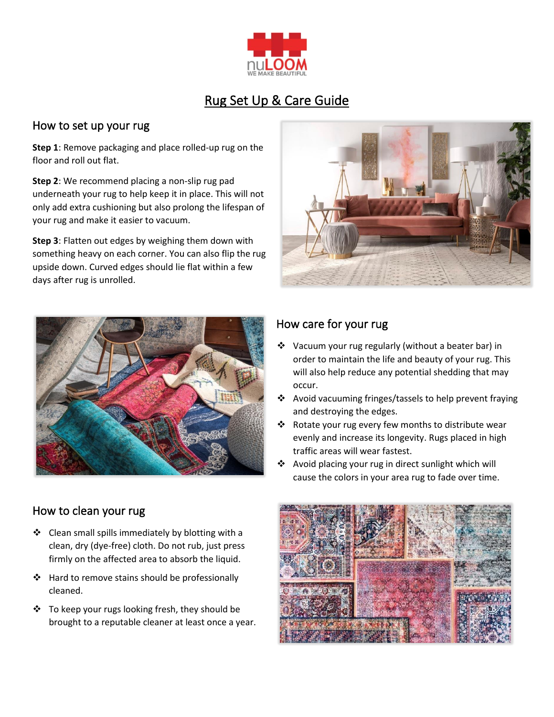

# Rug Set Up & Care Guide

#### How to set up your rug

**Step 1**: Remove packaging and place rolled-up rug on the floor and roll out flat.

**Step 2**: We recommend placing a non-slip rug pad underneath your rug to help keep it in place. This will not only add extra cushioning but also prolong the lifespan of your rug and make it easier to vacuum.

**Step 3**: Flatten out edges by weighing them down with something heavy on each corner. You can also flip the rug upside down. Curved edges should lie flat within a few days after rug is unrolled.





#### How to clean your rug

- $\div$  Clean small spills immediately by blotting with a clean, dry (dye-free) cloth. Do not rub, just press firmly on the affected area to absorb the liquid.
- ❖ Hard to remove stains should be professionally cleaned.
- ❖ To keep your rugs looking fresh, they should be brought to a reputable cleaner at least once a year.

### How care for your rug

- ❖ Vacuum your rug regularly (without a beater bar) in order to maintain the life and beauty of your rug. This will also help reduce any potential shedding that may occur.
- ❖ Avoid vacuuming fringes/tassels to help prevent fraying and destroying the edges.
- ❖ Rotate your rug every few months to distribute wear evenly and increase its longevity. Rugs placed in high traffic areas will wear fastest.
- ❖ Avoid placing your rug in direct sunlight which will cause the colors in your area rug to fade over time.

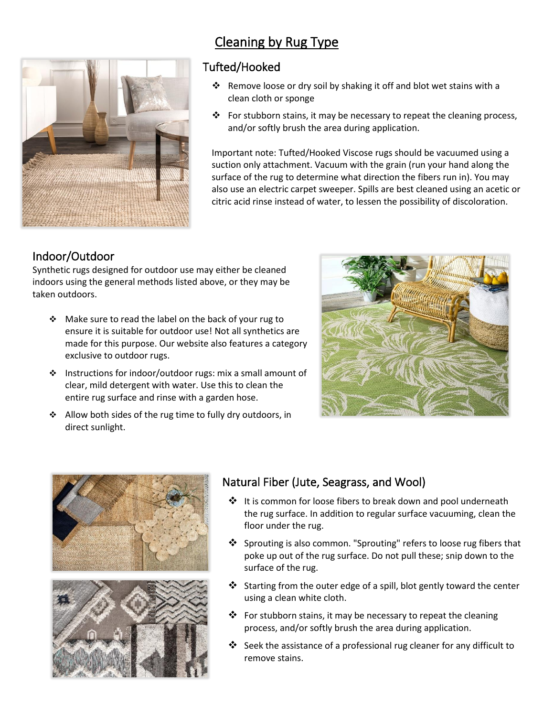

# Cleaning by Rug Type

#### Tufted/Hooked

- ❖ Remove loose or dry soil by shaking it off and blot wet stains with a clean cloth or sponge
- $\cdot \cdot$  For stubborn stains, it may be necessary to repeat the cleaning process, and/or softly brush the area during application.

Important note: Tufted/Hooked Viscose rugs should be vacuumed using a suction only attachment. Vacuum with the grain (run your hand along the surface of the rug to determine what direction the fibers run in). You may also use an electric carpet sweeper. Spills are best cleaned using an acetic or citric acid rinse instead of water, to lessen the possibility of discoloration.

## Indoor/Outdoor

Synthetic rugs designed for outdoor use may either be cleaned indoors using the general methods listed above, or they may be taken outdoors.

- ❖ Make sure to read the label on the back of your rug to ensure it is suitable for outdoor use! Not all synthetics are made for this purpose. Our website also features a category exclusive to outdoor rugs.
- ❖ Instructions for indoor/outdoor rugs: mix a small amount of clear, mild detergent with water. Use this to clean the entire rug surface and rinse with a garden hose.
- ❖ Allow both sides of the rug time to fully dry outdoors, in direct sunlight.





# Natural Fiber (Jute, Seagrass, and Wool)

- ❖ It is common for loose fibers to break down and pool underneath the rug surface. In addition to regular surface vacuuming, clean the floor under the rug.
- ❖ Sprouting is also common. "Sprouting" refers to loose rug fibers that poke up out of the rug surface. Do not pull these; snip down to the surface of the rug.
- ❖ Starting from the outer edge of a spill, blot gently toward the center using a clean white cloth.
- ❖ For stubborn stains, it may be necessary to repeat the cleaning process, and/or softly brush the area during application.
- ❖ Seek the assistance of a professional rug cleaner for any difficult to remove stains.